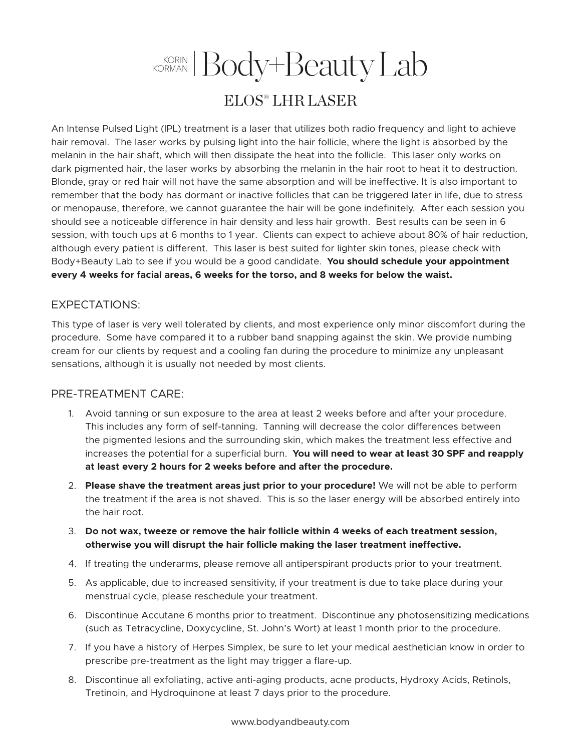## KORIN Body+Beauty Lab ELOS® LHR LASER

An Intense Pulsed Light (IPL) treatment is a laser that utilizes both radio frequency and light to achieve hair removal. The laser works by pulsing light into the hair follicle, where the light is absorbed by the melanin in the hair shaft, which will then dissipate the heat into the follicle. This laser only works on dark pigmented hair, the laser works by absorbing the melanin in the hair root to heat it to destruction. Blonde, gray or red hair will not have the same absorption and will be ineffective. It is also important to remember that the body has dormant or inactive follicles that can be triggered later in life, due to stress or menopause, therefore, we cannot guarantee the hair will be gone indefinitely. After each session you should see a noticeable difference in hair density and less hair growth. Best results can be seen in 6 session, with touch ups at 6 months to 1 year. Clients can expect to achieve about 80% of hair reduction, although every patient is different. This laser is best suited for lighter skin tones, please check with Body+Beauty Lab to see if you would be a good candidate. **You should schedule your appointment every 4 weeks for facial areas, 6 weeks for the torso, and 8 weeks for below the waist.**

## EXPECTATIONS:

This type of laser is very well tolerated by clients, and most experience only minor discomfort during the procedure. Some have compared it to a rubber band snapping against the skin. We provide numbing cream for our clients by request and a cooling fan during the procedure to minimize any unpleasant sensations, although it is usually not needed by most clients.

## PRE-TREATMENT CARE:

- 1. Avoid tanning or sun exposure to the area at least 2 weeks before and after your procedure. This includes any form of self-tanning. Tanning will decrease the color differences between the pigmented lesions and the surrounding skin, which makes the treatment less effective and increases the potential for a superficial burn. **You will need to wear at least 30 SPF and reapply at least every 2 hours for 2 weeks before and after the procedure.**
- 2. **Please shave the treatment areas just prior to your procedure!** We will not be able to perform the treatment if the area is not shaved. This is so the laser energy will be absorbed entirely into the hair root.
- 3. **Do not wax, tweeze or remove the hair follicle within 4 weeks of each treatment session, otherwise you will disrupt the hair follicle making the laser treatment ineffective.**
- 4. If treating the underarms, please remove all antiperspirant products prior to your treatment.
- 5. As applicable, due to increased sensitivity, if your treatment is due to take place during your menstrual cycle, please reschedule your treatment.
- 6. Discontinue Accutane 6 months prior to treatment. Discontinue any photosensitizing medications (such as Tetracycline, Doxycycline, St. John's Wort) at least 1 month prior to the procedure.
- 7. If you have a history of Herpes Simplex, be sure to let your medical aesthetician know in order to prescribe pre-treatment as the light may trigger a flare-up.
- 8. Discontinue all exfoliating, active anti-aging products, acne products, Hydroxy Acids, Retinols, Tretinoin, and Hydroquinone at least 7 days prior to the procedure.